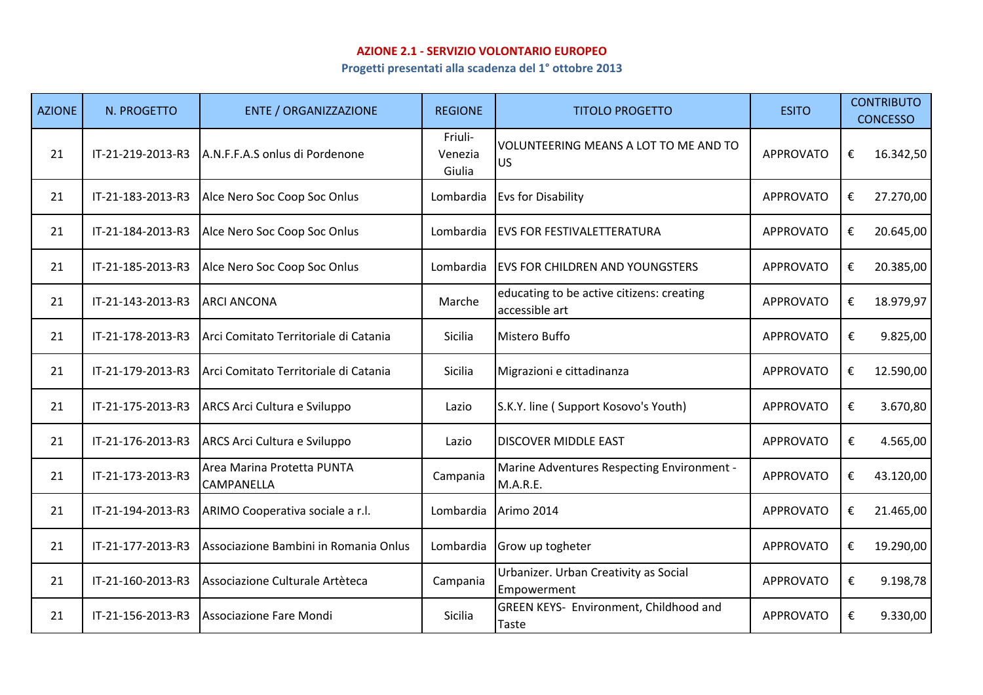## **AZIONE 2.1 - SERVIZIO VOLONTARIO EUROPEO**

**Progetti presentati alla scadenza del 1° ottobre 2013**

| <b>AZIONE</b> | N. PROGETTO       | <b>ENTE / ORGANIZZAZIONE</b>                    | <b>REGIONE</b>               | <b>TITOLO PROGETTO</b>                                      | <b>ESITO</b>     | <b>CONTRIBUTO</b><br><b>CONCESSO</b> |
|---------------|-------------------|-------------------------------------------------|------------------------------|-------------------------------------------------------------|------------------|--------------------------------------|
| 21            | IT-21-219-2013-R3 | A.N.F.F.A.S onlus di Pordenone                  | Friuli-<br>Venezia<br>Giulia | VOLUNTEERING MEANS A LOT TO ME AND TO<br><b>US</b>          | <b>APPROVATO</b> | 16.342,50<br>€                       |
| 21            | IT-21-183-2013-R3 | Alce Nero Soc Coop Soc Onlus                    | Lombardia                    | <b>Evs for Disability</b>                                   | <b>APPROVATO</b> | 27.270,00<br>€                       |
| 21            | IT-21-184-2013-R3 | Alce Nero Soc Coop Soc Onlus                    | Lombardia                    | <b>EVS FOR FESTIVALETTERATURA</b>                           | <b>APPROVATO</b> | 20.645,00<br>€                       |
| 21            | IT-21-185-2013-R3 | Alce Nero Soc Coop Soc Onlus                    | Lombardia                    | <b>EVS FOR CHILDREN AND YOUNGSTERS</b>                      | <b>APPROVATO</b> | €<br>20.385,00                       |
| 21            | IT-21-143-2013-R3 | <b>ARCI ANCONA</b>                              | Marche                       | educating to be active citizens: creating<br>accessible art | <b>APPROVATO</b> | €<br>18.979,97                       |
| 21            | IT-21-178-2013-R3 | Arci Comitato Territoriale di Catania           | Sicilia                      | Mistero Buffo                                               | <b>APPROVATO</b> | €<br>9.825,00                        |
| 21            | IT-21-179-2013-R3 | Arci Comitato Territoriale di Catania           | Sicilia                      | Migrazioni e cittadinanza                                   | <b>APPROVATO</b> | €<br>12.590,00                       |
| 21            | IT-21-175-2013-R3 | <b>ARCS Arci Cultura e Sviluppo</b>             | Lazio                        | S.K.Y. line (Support Kosovo's Youth)                        | <b>APPROVATO</b> | 3.670,80<br>€                        |
| 21            | IT-21-176-2013-R3 | ARCS Arci Cultura e Sviluppo                    | Lazio                        | <b>DISCOVER MIDDLE EAST</b>                                 | <b>APPROVATO</b> | €<br>4.565,00                        |
| 21            | IT-21-173-2013-R3 | Area Marina Protetta PUNTA<br><b>CAMPANELLA</b> | Campania                     | Marine Adventures Respecting Environment -<br>M.A.R.E.      | <b>APPROVATO</b> | 43.120,00<br>€                       |
| 21            | IT-21-194-2013-R3 | ARIMO Cooperativa sociale a r.l.                | Lombardia                    | Arimo 2014                                                  | <b>APPROVATO</b> | 21.465,00<br>€                       |
| 21            | IT-21-177-2013-R3 | Associazione Bambini in Romania Onlus           | Lombardia                    | Grow up togheter                                            | <b>APPROVATO</b> | 19.290,00<br>€                       |
| 21            | IT-21-160-2013-R3 | Associazione Culturale Artèteca                 | Campania                     | Urbanizer. Urban Creativity as Social<br>Empowerment        | <b>APPROVATO</b> | 9.198,78<br>€                        |
| 21            | IT-21-156-2013-R3 | Associazione Fare Mondi                         | Sicilia                      | GREEN KEYS- Environment, Childhood and<br><b>Taste</b>      | <b>APPROVATO</b> | €<br>9.330,00                        |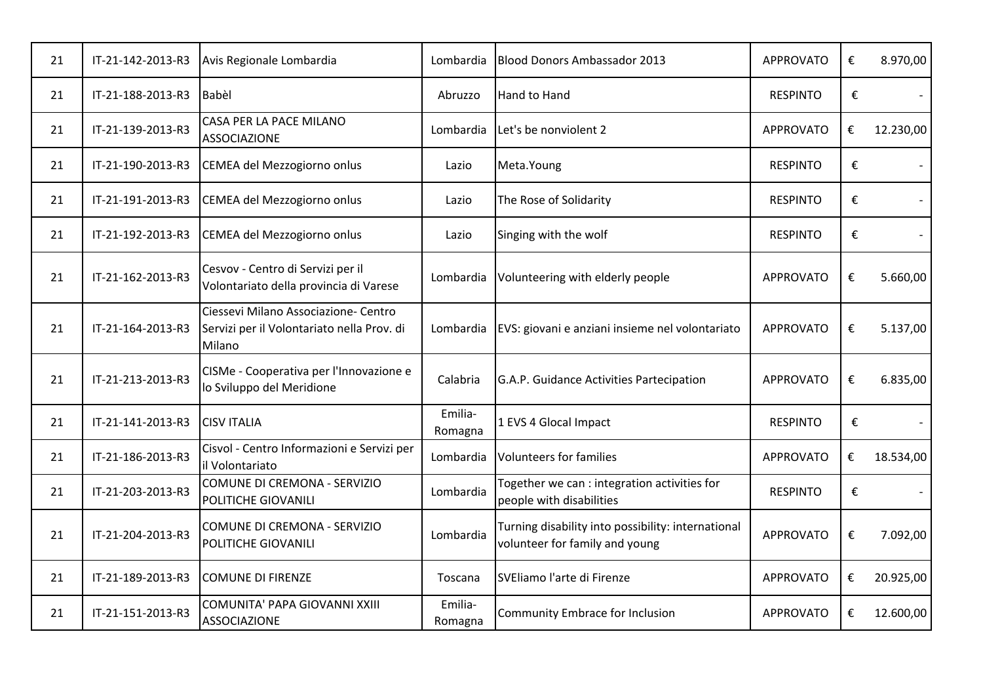| 21 | IT-21-142-2013-R3 | Avis Regionale Lombardia                                                                     | Lombardia          | <b>Blood Donors Ambassador 2013</b>                                                  | <b>APPROVATO</b> | € | 8.970,00  |
|----|-------------------|----------------------------------------------------------------------------------------------|--------------------|--------------------------------------------------------------------------------------|------------------|---|-----------|
| 21 | IT-21-188-2013-R3 | Babèl                                                                                        | Abruzzo            | Hand to Hand                                                                         | <b>RESPINTO</b>  | € |           |
| 21 | IT-21-139-2013-R3 | CASA PER LA PACE MILANO<br><b>ASSOCIAZIONE</b>                                               | Lombardia          | Let's be nonviolent 2                                                                | <b>APPROVATO</b> | € | 12.230,00 |
| 21 | IT-21-190-2013-R3 | CEMEA del Mezzogiorno onlus                                                                  | Lazio              | Meta.Young                                                                           | <b>RESPINTO</b>  | € |           |
| 21 | IT-21-191-2013-R3 | CEMEA del Mezzogiorno onlus                                                                  | Lazio              | The Rose of Solidarity                                                               | <b>RESPINTO</b>  | € |           |
| 21 | IT-21-192-2013-R3 | CEMEA del Mezzogiorno onlus                                                                  | Lazio              | Singing with the wolf                                                                | <b>RESPINTO</b>  | € |           |
| 21 | IT-21-162-2013-R3 | Cesvov - Centro di Servizi per il<br>Volontariato della provincia di Varese                  | Lombardia          | Volunteering with elderly people                                                     | <b>APPROVATO</b> | € | 5.660,00  |
| 21 | IT-21-164-2013-R3 | Ciessevi Milano Associazione- Centro<br>Servizi per il Volontariato nella Prov. di<br>Milano | Lombardia          | EVS: giovani e anziani insieme nel volontariato                                      | <b>APPROVATO</b> | € | 5.137,00  |
| 21 | IT-21-213-2013-R3 | CISMe - Cooperativa per l'Innovazione e<br>lo Sviluppo del Meridione                         | Calabria           | G.A.P. Guidance Activities Partecipation                                             | <b>APPROVATO</b> | € | 6.835,00  |
| 21 | IT-21-141-2013-R3 | <b>CISV ITALIA</b>                                                                           | Emilia-<br>Romagna | 1 EVS 4 Glocal Impact                                                                | <b>RESPINTO</b>  | € |           |
| 21 | IT-21-186-2013-R3 | Cisvol - Centro Informazioni e Servizi per<br>il Volontariato                                | Lombardia          | <b>Volunteers for families</b>                                                       | <b>APPROVATO</b> | € | 18.534,00 |
| 21 | IT-21-203-2013-R3 | COMUNE DI CREMONA - SERVIZIO<br>POLITICHE GIOVANILI                                          | Lombardia          | Together we can : integration activities for<br>people with disabilities             | <b>RESPINTO</b>  | € |           |
| 21 | IT-21-204-2013-R3 | COMUNE DI CREMONA - SERVIZIO<br>POLITICHE GIOVANILI                                          | Lombardia          | Turning disability into possibility: international<br>volunteer for family and young | <b>APPROVATO</b> | € | 7.092,00  |
| 21 | IT-21-189-2013-R3 | COMUNE DI FIRENZE                                                                            | Toscana            | SVEliamo l'arte di Firenze                                                           | <b>APPROVATO</b> | € | 20.925,00 |
| 21 | IT-21-151-2013-R3 | COMUNITA' PAPA GIOVANNI XXIII<br><b>ASSOCIAZIONE</b>                                         | Emilia-<br>Romagna | Community Embrace for Inclusion                                                      | <b>APPROVATO</b> | € | 12.600,00 |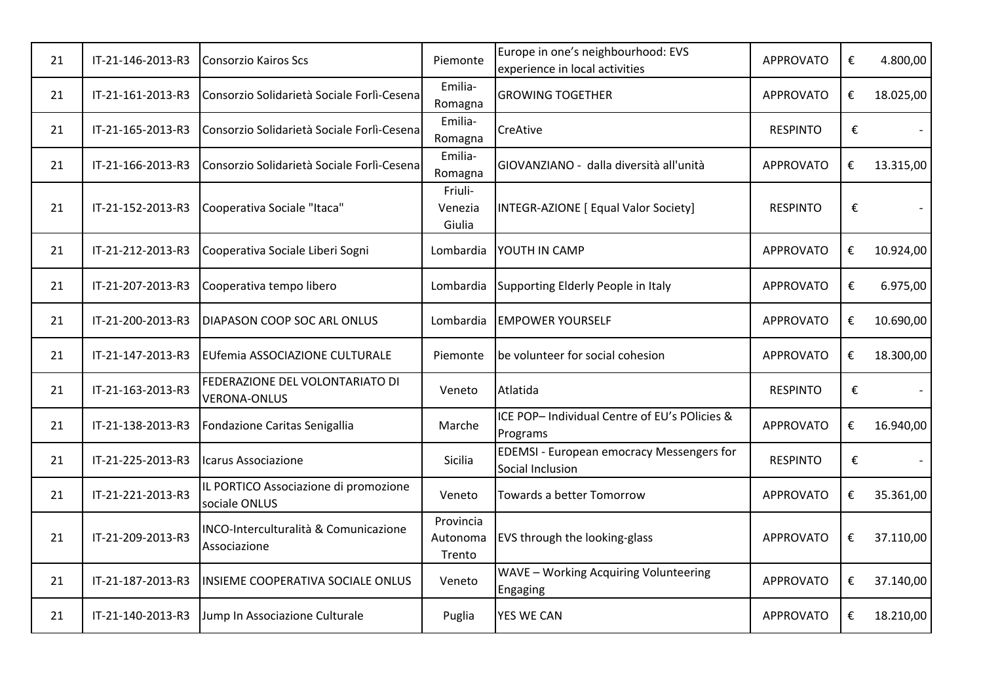| 21 | IT-21-146-2013-R3 | <b>Consorzio Kairos Scs</b>                            | Piemonte                        | Europe in one's neighbourhood: EVS<br>experience in local activities | <b>APPROVATO</b> | € | 4.800,00  |
|----|-------------------|--------------------------------------------------------|---------------------------------|----------------------------------------------------------------------|------------------|---|-----------|
| 21 | IT-21-161-2013-R3 | Consorzio Solidarietà Sociale Forlì-Cesena             | Emilia-<br>Romagna              | <b>GROWING TOGETHER</b>                                              | <b>APPROVATO</b> | € | 18.025,00 |
| 21 | IT-21-165-2013-R3 | Consorzio Solidarietà Sociale Forlì-Cesena             | Emilia-<br>Romagna              | <b>CreAtive</b>                                                      | <b>RESPINTO</b>  | € |           |
| 21 | IT-21-166-2013-R3 | Consorzio Solidarietà Sociale Forlì-Cesena             | Emilia-<br>Romagna              | GIOVANZIANO - dalla diversità all'unità                              | <b>APPROVATO</b> | € | 13.315,00 |
| 21 | IT-21-152-2013-R3 | Cooperativa Sociale "Itaca"                            | Friuli-<br>Venezia<br>Giulia    | INTEGR-AZIONE [ Equal Valor Society]                                 | <b>RESPINTO</b>  | € |           |
| 21 | IT-21-212-2013-R3 | Cooperativa Sociale Liberi Sogni                       | Lombardia                       | YOUTH IN CAMP                                                        | <b>APPROVATO</b> | € | 10.924,00 |
| 21 | IT-21-207-2013-R3 | Cooperativa tempo libero                               | Lombardia                       | Supporting Elderly People in Italy                                   | <b>APPROVATO</b> | € | 6.975,00  |
| 21 | IT-21-200-2013-R3 | <b>DIAPASON COOP SOC ARL ONLUS</b>                     | Lombardia                       | <b>EMPOWER YOURSELF</b>                                              | <b>APPROVATO</b> | € | 10.690,00 |
| 21 | IT-21-147-2013-R3 | <b>EUfemia ASSOCIAZIONE CULTURALE</b>                  | Piemonte                        | be volunteer for social cohesion                                     | <b>APPROVATO</b> | € | 18.300,00 |
| 21 | IT-21-163-2013-R3 | FEDERAZIONE DEL VOLONTARIATO DI<br><b>VERONA-ONLUS</b> | Veneto                          | Atlatida                                                             | <b>RESPINTO</b>  | € |           |
| 21 | IT-21-138-2013-R3 | Fondazione Caritas Senigallia                          | Marche                          | ICE POP- Individual Centre of EU's POlicies &<br>Programs            | <b>APPROVATO</b> | € | 16.940,00 |
| 21 | IT-21-225-2013-R3 | Icarus Associazione                                    | Sicilia                         | <b>EDEMSI</b> - European emocracy Messengers for<br>Social Inclusion | <b>RESPINTO</b>  | € |           |
| 21 | IT-21-221-2013-R3 | IL PORTICO Associazione di promozione<br>sociale ONLUS | Veneto                          | Towards a better Tomorrow                                            | <b>APPROVATO</b> | € | 35.361,00 |
| 21 | IT-21-209-2013-R3 | INCO-Interculturalità & Comunicazione<br>Associazione  | Provincia<br>Autonoma<br>Trento | EVS through the looking-glass                                        | <b>APPROVATO</b> | € | 37.110,00 |
| 21 | IT-21-187-2013-R3 | INSIEME COOPERATIVA SOCIALE ONLUS                      | Veneto                          | WAVE - Working Acquiring Volunteering<br><b>Engaging</b>             | <b>APPROVATO</b> | € | 37.140,00 |
| 21 | IT-21-140-2013-R3 | Jump In Associazione Culturale                         | Puglia                          | <b>YES WE CAN</b>                                                    | <b>APPROVATO</b> | € | 18.210,00 |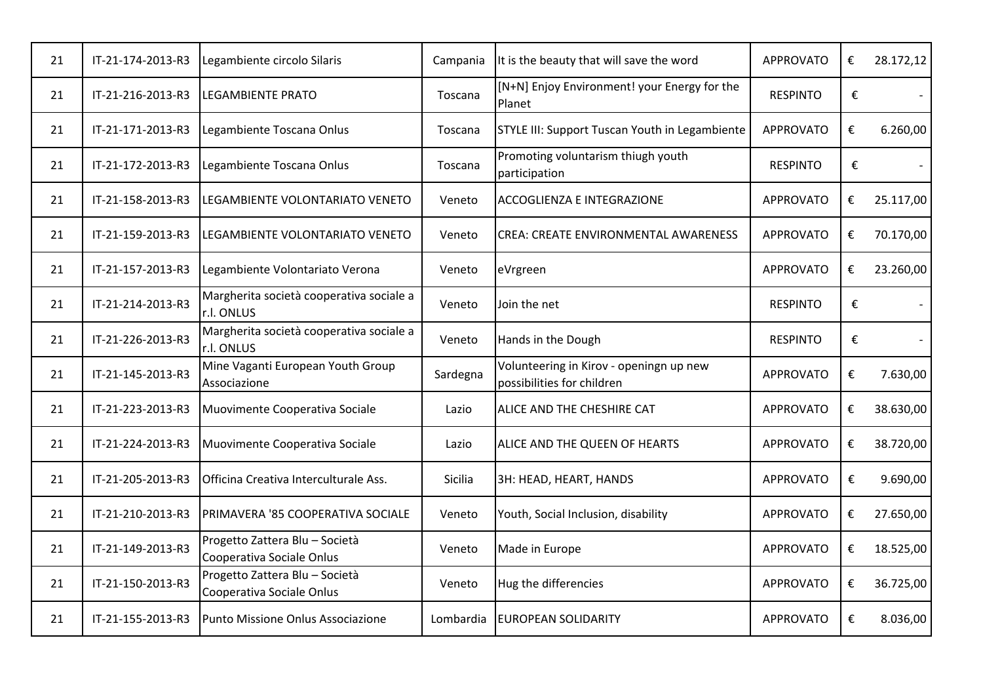| 21 | IT-21-174-2013-R3 | Legambiente circolo Silaris                                 | Campania  | It is the beauty that will save the word                              | <b>APPROVATO</b> | € | 28.172,12      |
|----|-------------------|-------------------------------------------------------------|-----------|-----------------------------------------------------------------------|------------------|---|----------------|
| 21 | IT-21-216-2013-R3 | <b>LEGAMBIENTE PRATO</b>                                    | Toscana   | [N+N] Enjoy Environment! your Energy for the<br>Planet                | <b>RESPINTO</b>  | € |                |
| 21 | IT-21-171-2013-R3 | Legambiente Toscana Onlus                                   | Toscana   | STYLE III: Support Tuscan Youth in Legambiente                        | <b>APPROVATO</b> | € | 6.260,00       |
| 21 | IT-21-172-2013-R3 | Legambiente Toscana Onlus                                   | Toscana   | Promoting voluntarism thiugh youth<br>participation                   | <b>RESPINTO</b>  | € |                |
| 21 | IT-21-158-2013-R3 | LEGAMBIENTE VOLONTARIATO VENETO                             | Veneto    | <b>ACCOGLIENZA E INTEGRAZIONE</b>                                     | <b>APPROVATO</b> | € | 25.117,00      |
| 21 | IT-21-159-2013-R3 | LEGAMBIENTE VOLONTARIATO VENETO                             | Veneto    | <b>CREA: CREATE ENVIRONMENTAL AWARENESS</b>                           | <b>APPROVATO</b> | € | 70.170,00      |
| 21 | IT-21-157-2013-R3 | Legambiente Volontariato Verona                             | Veneto    | eVrgreen                                                              | <b>APPROVATO</b> | € | 23.260,00      |
| 21 | IT-21-214-2013-R3 | Margherita società cooperativa sociale a<br>r.l. ONLUS      | Veneto    | Join the net                                                          | <b>RESPINTO</b>  | € |                |
| 21 | IT-21-226-2013-R3 | Margherita società cooperativa sociale a<br>r.l. ONLUS      | Veneto    | Hands in the Dough                                                    | <b>RESPINTO</b>  | € | $\blacksquare$ |
| 21 | IT-21-145-2013-R3 | Mine Vaganti European Youth Group<br>Associazione           | Sardegna  | Volunteering in Kirov - openingn up new<br>possibilities for children | <b>APPROVATO</b> | € | 7.630,00       |
| 21 | IT-21-223-2013-R3 | Muovimente Cooperativa Sociale                              | Lazio     | ALICE AND THE CHESHIRE CAT                                            | <b>APPROVATO</b> | € | 38.630,00      |
| 21 | IT-21-224-2013-R3 | Muovimente Cooperativa Sociale                              | Lazio     | ALICE AND THE QUEEN OF HEARTS                                         | <b>APPROVATO</b> | € | 38.720,00      |
| 21 | IT-21-205-2013-R3 | Officina Creativa Interculturale Ass.                       | Sicilia   | 3H: HEAD, HEART, HANDS                                                | <b>APPROVATO</b> | € | 9.690,00       |
| 21 | IT-21-210-2013-R3 | PRIMAVERA '85 COOPERATIVA SOCIALE                           | Veneto    | Youth, Social Inclusion, disability                                   | <b>APPROVATO</b> | € | 27.650,00      |
| 21 | IT-21-149-2013-R3 | Progetto Zattera Blu - Società<br>Cooperativa Sociale Onlus | Veneto    | Made in Europe                                                        | <b>APPROVATO</b> | € | 18.525,00      |
| 21 | IT-21-150-2013-R3 | Progetto Zattera Blu - Società<br>Cooperativa Sociale Onlus | Veneto    | Hug the differencies                                                  | <b>APPROVATO</b> | € | 36.725,00      |
| 21 | IT-21-155-2013-R3 | Punto Missione Onlus Associazione                           | Lombardia | <b>EUROPEAN SOLIDARITY</b>                                            | <b>APPROVATO</b> | € | 8.036,00       |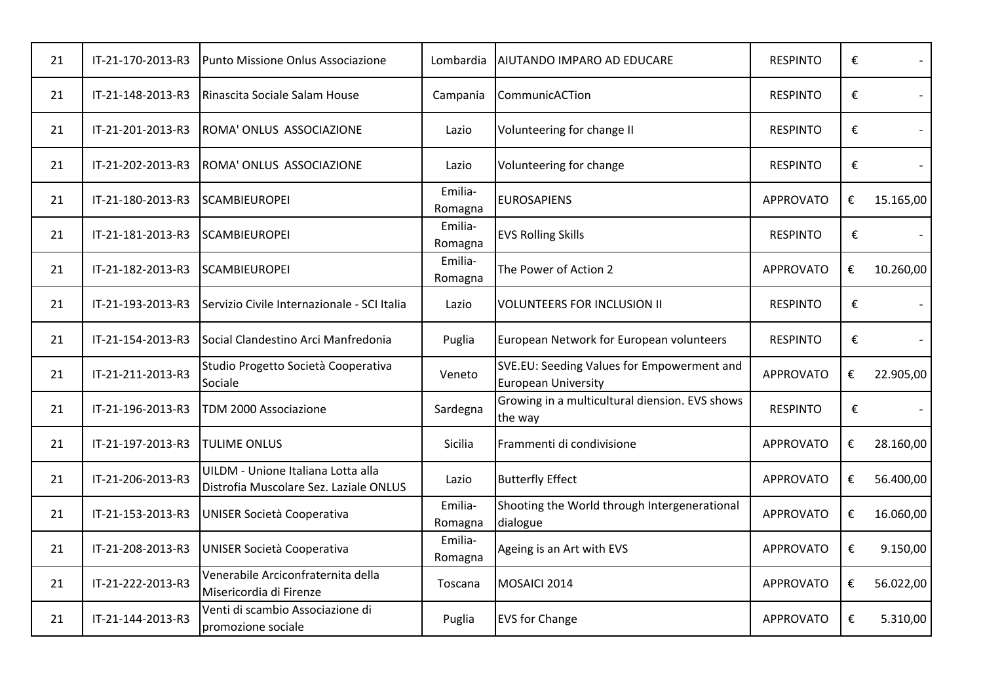| 21 | IT-21-170-2013-R3 | Punto Missione Onlus Associazione                                            | Lombardia          | AIUTANDO IMPARO AD EDUCARE                                               | <b>RESPINTO</b>  | € |           |
|----|-------------------|------------------------------------------------------------------------------|--------------------|--------------------------------------------------------------------------|------------------|---|-----------|
| 21 | IT-21-148-2013-R3 | Rinascita Sociale Salam House                                                | Campania           | CommunicACTion                                                           | <b>RESPINTO</b>  | € |           |
| 21 | IT-21-201-2013-R3 | ROMA' ONLUS ASSOCIAZIONE                                                     | Lazio              | Volunteering for change II                                               | <b>RESPINTO</b>  | € |           |
| 21 | IT-21-202-2013-R3 | ROMA' ONLUS ASSOCIAZIONE                                                     | Lazio              | Volunteering for change                                                  | <b>RESPINTO</b>  | € |           |
| 21 | IT-21-180-2013-R3 | <b>SCAMBIEUROPEI</b>                                                         | Emilia-<br>Romagna | <b>EUROSAPIENS</b>                                                       | <b>APPROVATO</b> | € | 15.165,00 |
| 21 | IT-21-181-2013-R3 | <b>ISCAMBIEUROPEI</b>                                                        | Emilia-<br>Romagna | <b>EVS Rolling Skills</b>                                                | <b>RESPINTO</b>  | € |           |
| 21 | IT-21-182-2013-R3 | <b>SCAMBIEUROPEI</b>                                                         | Emilia-<br>Romagna | The Power of Action 2                                                    | <b>APPROVATO</b> | € | 10.260,00 |
| 21 | IT-21-193-2013-R3 | Servizio Civile Internazionale - SCI Italia                                  | Lazio              | <b>VOLUNTEERS FOR INCLUSION II</b>                                       | <b>RESPINTO</b>  | € |           |
| 21 | IT-21-154-2013-R3 | Social Clandestino Arci Manfredonia                                          | Puglia             | European Network for European volunteers                                 | <b>RESPINTO</b>  | € |           |
| 21 | IT-21-211-2013-R3 | Studio Progetto Società Cooperativa<br>Sociale                               | Veneto             | SVE.EU: Seeding Values for Empowerment and<br><b>European University</b> | <b>APPROVATO</b> | € | 22.905,00 |
| 21 | IT-21-196-2013-R3 | TDM 2000 Associazione                                                        | Sardegna           | Growing in a multicultural diension. EVS shows<br>the way                | <b>RESPINTO</b>  | € |           |
| 21 | IT-21-197-2013-R3 | <b>TULIME ONLUS</b>                                                          | Sicilia            | Frammenti di condivisione                                                | <b>APPROVATO</b> | € | 28.160,00 |
| 21 | IT-21-206-2013-R3 | UILDM - Unione Italiana Lotta alla<br>Distrofia Muscolare Sez. Laziale ONLUS | Lazio              | <b>Butterfly Effect</b>                                                  | <b>APPROVATO</b> | € | 56.400,00 |
| 21 | IT-21-153-2013-R3 | <b>UNISER Società Cooperativa</b>                                            | Emilia-<br>Romagna | Shooting the World through Intergenerational<br>dialogue                 | <b>APPROVATO</b> | € | 16.060,00 |
| 21 | IT-21-208-2013-R3 | <b>UNISER Società Cooperativa</b>                                            | Emilia-<br>Romagna | Ageing is an Art with EVS                                                | <b>APPROVATO</b> | € | 9.150,00  |
| 21 | IT-21-222-2013-R3 | Venerabile Arciconfraternita della<br>Misericordia di Firenze                | Toscana            | MOSAICI 2014                                                             | <b>APPROVATO</b> | € | 56.022,00 |
| 21 | IT-21-144-2013-R3 | Venti di scambio Associazione di<br>promozione sociale                       | Puglia             | <b>EVS</b> for Change                                                    | <b>APPROVATO</b> | € | 5.310,00  |